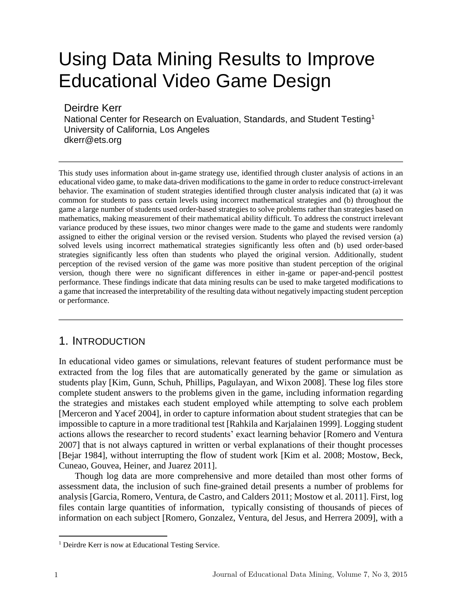# Using Data Mining Results to Improve Educational Video Game Design

Deirdre Kerr

National Center for Research on Evaluation, Standards, and Student Testing<sup>1</sup> University of California, Los Angeles dkerr@ets.org

This study uses information about in-game strategy use, identified through cluster analysis of actions in an educational video game, to make data-driven modifications to the game in order to reduce construct-irrelevant behavior. The examination of student strategies identified through cluster analysis indicated that (a) it was common for students to pass certain levels using incorrect mathematical strategies and (b) throughout the game a large number of students used order-based strategies to solve problems rather than strategies based on mathematics, making measurement of their mathematical ability difficult. To address the construct irrelevant variance produced by these issues, two minor changes were made to the game and students were randomly assigned to either the original version or the revised version. Students who played the revised version (a) solved levels using incorrect mathematical strategies significantly less often and (b) used order-based strategies significantly less often than students who played the original version. Additionally, student perception of the revised version of the game was more positive than student perception of the original version, though there were no significant differences in either in-game or paper-and-pencil posttest performance. These findings indicate that data mining results can be used to make targeted modifications to a game that increased the interpretability of the resulting data without negatively impacting student perception or performance.

# 1. INTRODUCTION

In educational video games or simulations, relevant features of student performance must be extracted from the log files that are automatically generated by the game or simulation as students play [Kim, Gunn, Schuh, Phillips, Pagulayan, and Wixon 2008]. These log files store complete student answers to the problems given in the game, including information regarding the strategies and mistakes each student employed while attempting to solve each problem [Merceron and Yacef 2004], in order to capture information about student strategies that can be impossible to capture in a more traditional test [Rahkila and Karjalainen 1999]. Logging student actions allows the researcher to record students' exact learning behavior [Romero and Ventura 2007] that is not always captured in written or verbal explanations of their thought processes [Bejar 1984], without interrupting the flow of student work [Kim et al. 2008; Mostow, Beck, Cuneao, Gouvea, Heiner, and Juarez 2011].

Though log data are more comprehensive and more detailed than most other forms of assessment data, the inclusion of such fine-grained detail presents a number of problems for analysis [Garcia, Romero, Ventura, de Castro, and Calders 2011; Mostow et al. 2011]. First, log files contain large quantities of information, typically consisting of thousands of pieces of information on each subject [Romero, Gonzalez, Ventura, del Jesus, and Herrera 2009], with a

 $\overline{a}$ 

<sup>&</sup>lt;sup>1</sup> Deirdre Kerr is now at Educational Testing Service.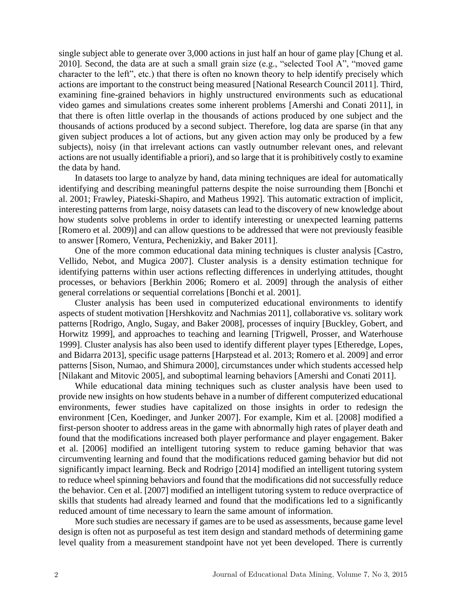single subject able to generate over 3,000 actions in just half an hour of game play [Chung et al. 2010]. Second, the data are at such a small grain size (e.g., "selected Tool A", "moved game character to the left", etc.) that there is often no known theory to help identify precisely which actions are important to the construct being measured [National Research Council 2011]. Third, examining fine-grained behaviors in highly unstructured environments such as educational video games and simulations creates some inherent problems [Amershi and Conati 2011], in that there is often little overlap in the thousands of actions produced by one subject and the thousands of actions produced by a second subject. Therefore, log data are sparse (in that any given subject produces a lot of actions, but any given action may only be produced by a few subjects), noisy (in that irrelevant actions can vastly outnumber relevant ones, and relevant actions are not usually identifiable a priori), and so large that it is prohibitively costly to examine the data by hand.

In datasets too large to analyze by hand, data mining techniques are ideal for automatically identifying and describing meaningful patterns despite the noise surrounding them [Bonchi et al. 2001; Frawley, Piateski-Shapiro, and Matheus 1992]. This automatic extraction of implicit, interesting patterns from large, noisy datasets can lead to the discovery of new knowledge about how students solve problems in order to identify interesting or unexpected learning patterns [Romero et al. 2009)] and can allow questions to be addressed that were not previously feasible to answer [Romero, Ventura, Pechenizkiy, and Baker 2011].

One of the more common educational data mining techniques is cluster analysis [Castro, Vellido, Nebot, and Mugica 2007]. Cluster analysis is a density estimation technique for identifying patterns within user actions reflecting differences in underlying attitudes, thought processes, or behaviors [Berkhin 2006; Romero et al. 2009] through the analysis of either general correlations or sequential correlations [Bonchi et al. 2001].

Cluster analysis has been used in computerized educational environments to identify aspects of student motivation [Hershkovitz and Nachmias 2011], collaborative vs. solitary work patterns [Rodrigo, Anglo, Sugay, and Baker 2008], processes of inquiry [Buckley, Gobert, and Horwitz 1999], and approaches to teaching and learning [Trigwell, Prosser, and Waterhouse 1999]. Cluster analysis has also been used to identify different player types [Etheredge, Lopes, and Bidarra 2013], specific usage patterns [Harpstead et al. 2013; Romero et al. 2009] and error patterns [Sison, Numao, and Shimura 2000], circumstances under which students accessed help [Nilakant and Mitovic 2005], and suboptimal learning behaviors [Amershi and Conati 2011].

While educational data mining techniques such as cluster analysis have been used to provide new insights on how students behave in a number of different computerized educational environments, fewer studies have capitalized on those insights in order to redesign the environment [Cen, Koedinger, and Junker 2007]. For example, Kim et al. [2008] modified a first-person shooter to address areas in the game with abnormally high rates of player death and found that the modifications increased both player performance and player engagement. Baker et al. [2006] modified an intelligent tutoring system to reduce gaming behavior that was circumventing learning and found that the modifications reduced gaming behavior but did not significantly impact learning. Beck and Rodrigo [2014] modified an intelligent tutoring system to reduce wheel spinning behaviors and found that the modifications did not successfully reduce the behavior. Cen et al. [2007] modified an intelligent tutoring system to reduce overpractice of skills that students had already learned and found that the modifications led to a significantly reduced amount of time necessary to learn the same amount of information.

More such studies are necessary if games are to be used as assessments, because game level design is often not as purposeful as test item design and standard methods of determining game level quality from a measurement standpoint have not yet been developed. There is currently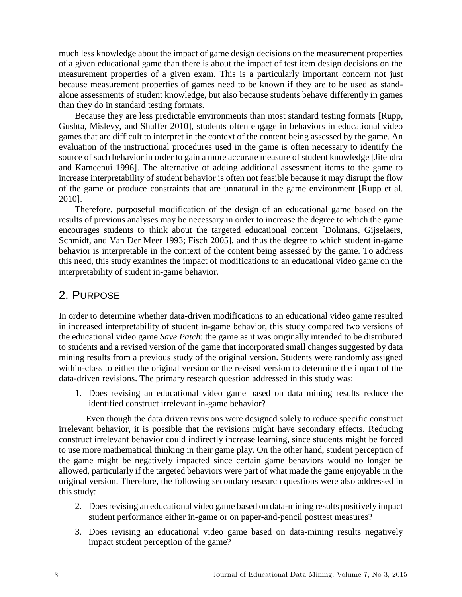much less knowledge about the impact of game design decisions on the measurement properties of a given educational game than there is about the impact of test item design decisions on the measurement properties of a given exam. This is a particularly important concern not just because measurement properties of games need to be known if they are to be used as standalone assessments of student knowledge, but also because students behave differently in games than they do in standard testing formats.

Because they are less predictable environments than most standard testing formats [Rupp, Gushta, Mislevy, and Shaffer 2010], students often engage in behaviors in educational video games that are difficult to interpret in the context of the content being assessed by the game. An evaluation of the instructional procedures used in the game is often necessary to identify the source of such behavior in order to gain a more accurate measure of student knowledge [Jitendra and Kameenui 1996]. The alternative of adding additional assessment items to the game to increase interpretability of student behavior is often not feasible because it may disrupt the flow of the game or produce constraints that are unnatural in the game environment [Rupp et al. 2010].

Therefore, purposeful modification of the design of an educational game based on the results of previous analyses may be necessary in order to increase the degree to which the game encourages students to think about the targeted educational content [Dolmans, Gijselaers, Schmidt, and Van Der Meer 1993; Fisch 2005], and thus the degree to which student in-game behavior is interpretable in the context of the content being assessed by the game. To address this need, this study examines the impact of modifications to an educational video game on the interpretability of student in-game behavior.

# 2. PURPOSE

In order to determine whether data-driven modifications to an educational video game resulted in increased interpretability of student in-game behavior, this study compared two versions of the educational video game *Save Patch*: the game as it was originally intended to be distributed to students and a revised version of the game that incorporated small changes suggested by data mining results from a previous study of the original version. Students were randomly assigned within-class to either the original version or the revised version to determine the impact of the data-driven revisions. The primary research question addressed in this study was:

1. Does revising an educational video game based on data mining results reduce the identified construct irrelevant in-game behavior?

Even though the data driven revisions were designed solely to reduce specific construct irrelevant behavior, it is possible that the revisions might have secondary effects. Reducing construct irrelevant behavior could indirectly increase learning, since students might be forced to use more mathematical thinking in their game play. On the other hand, student perception of the game might be negatively impacted since certain game behaviors would no longer be allowed, particularly if the targeted behaviors were part of what made the game enjoyable in the original version. Therefore, the following secondary research questions were also addressed in this study:

- 2. Does revising an educational video game based on data-mining results positively impact student performance either in-game or on paper-and-pencil posttest measures?
- 3. Does revising an educational video game based on data-mining results negatively impact student perception of the game?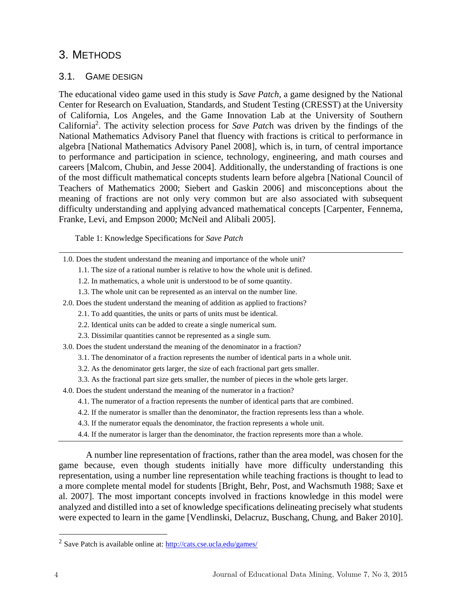# 3. METHODS

## 3.1. GAME DESIGN

The educational video game used in this study is *Save Patch*, a game designed by the National Center for Research on Evaluation, Standards, and Student Testing (CRESST) at the University of California, Los Angeles, and the Game Innovation Lab at the University of Southern California<sup>2</sup> . The activity selection process for *Save Patc*h was driven by the findings of the National Mathematics Advisory Panel that fluency with fractions is critical to performance in algebra [National Mathematics Advisory Panel 2008], which is, in turn, of central importance to performance and participation in science, technology, engineering, and math courses and careers [Malcom, Chubin, and Jesse 2004]. Additionally, the understanding of fractions is one of the most difficult mathematical concepts students learn before algebra [National Council of Teachers of Mathematics 2000; Siebert and Gaskin 2006] and misconceptions about the meaning of fractions are not only very common but are also associated with subsequent difficulty understanding and applying advanced mathematical concepts [Carpenter, Fennema, Franke, Levi, and Empson 2000; McNeil and Alibali 2005].

Table 1: Knowledge Specifications for *Save Patch*

- 1.0. Does the student understand the meaning and importance of the whole unit?
	- 1.1. The size of a rational number is relative to how the whole unit is defined.
	- 1.2. In mathematics, a whole unit is understood to be of some quantity.
	- 1.3. The whole unit can be represented as an interval on the number line.
- 2.0. Does the student understand the meaning of addition as applied to fractions?
	- 2.1. To add quantities, the units or parts of units must be identical.
	- 2.2. Identical units can be added to create a single numerical sum.
	- 2.3. Dissimilar quantities cannot be represented as a single sum.
- 3.0. Does the student understand the meaning of the denominator in a fraction?
	- 3.1. The denominator of a fraction represents the number of identical parts in a whole unit.
	- 3.2. As the denominator gets larger, the size of each fractional part gets smaller.
	- 3.3. As the fractional part size gets smaller, the number of pieces in the whole gets larger.

4.0. Does the student understand the meaning of the numerator in a fraction?

- 4.1. The numerator of a fraction represents the number of identical parts that are combined.
- 4.2. If the numerator is smaller than the denominator, the fraction represents less than a whole.
- 4.3. If the numerator equals the denominator, the fraction represents a whole unit.
- 4.4. If the numerator is larger than the denominator, the fraction represents more than a whole.

A number line representation of fractions, rather than the area model, was chosen for the game because, even though students initially have more difficulty understanding this representation, using a number line representation while teaching fractions is thought to lead to a more complete mental model for students [Bright, Behr, Post, and Wachsmuth 1988; Saxe et al. 2007]. The most important concepts involved in fractions knowledge in this model were analyzed and distilled into a set of knowledge specifications delineating precisely what students were expected to learn in the game [Vendlinski, Delacruz, Buschang, Chung, and Baker 2010].

 $\overline{a}$ 

<sup>&</sup>lt;sup>2</sup> Save Patch is available online at: http://cats.cse.ucla.edu/games/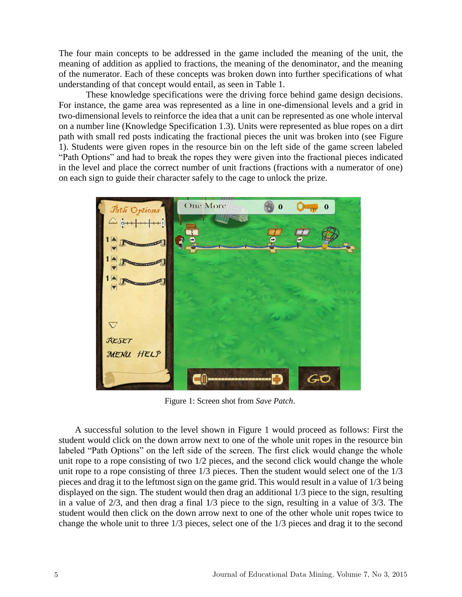The four main concepts to be addressed in the game included the meaning of the unit, the meaning of addition as applied to fractions, the meaning of the denominator, and the meaning of the numerator. Each of these concepts was broken down into further specifications of what understanding of that concept would entail, as seen in Table 1.

These knowledge specifications were the driving force behind game design decisions. For instance, the game area was represented as a line in one-dimensional levels and a grid in two-dimensional levels to reinforce the idea that a unit can be represented as one whole interval on a number line (Knowledge Specification 1.3). Units were represented as blue ropes on a dirt path with small red posts indicating the fractional pieces the unit was broken into (see Figure 1). Students were given ropes in the resource bin on the left side of the game screen labeled "Path Options" and had to break the ropes they were given into the fractional pieces indicated in the level and place the correct number of unit fractions (fractions with a numerator of one) on each sign to guide their character safely to the cage to unlock the prize.



Figure 1: Screen shot from *Save Patch*.

A successful solution to the level shown in Figure 1 would proceed as follows: First the student would click on the down arrow next to one of the whole unit ropes in the resource bin labeled "Path Options" on the left side of the screen. The first click would change the whole unit rope to a rope consisting of two 1/2 pieces, and the second click would change the whole unit rope to a rope consisting of three 1/3 pieces. Then the student would select one of the 1/3 pieces and drag it to the leftmost sign on the game grid. This would result in a value of 1/3 being displayed on the sign. The student would then drag an additional 1/3 piece to the sign, resulting in a value of 2/3, and then drag a final 1/3 piece to the sign, resulting in a value of 3/3. The student would then click on the down arrow next to one of the other whole unit ropes twice to change the whole unit to three 1/3 pieces, select one of the 1/3 pieces and drag it to the second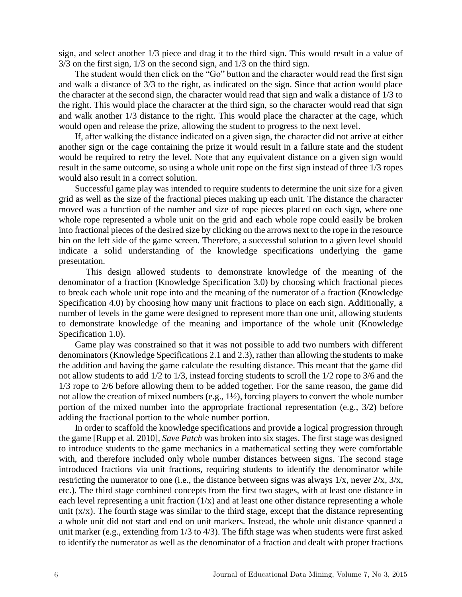sign, and select another 1/3 piece and drag it to the third sign. This would result in a value of 3/3 on the first sign, 1/3 on the second sign, and 1/3 on the third sign.

The student would then click on the "Go" button and the character would read the first sign and walk a distance of 3/3 to the right, as indicated on the sign. Since that action would place the character at the second sign, the character would read that sign and walk a distance of 1/3 to the right. This would place the character at the third sign, so the character would read that sign and walk another 1/3 distance to the right. This would place the character at the cage, which would open and release the prize, allowing the student to progress to the next level.

If, after walking the distance indicated on a given sign, the character did not arrive at either another sign or the cage containing the prize it would result in a failure state and the student would be required to retry the level. Note that any equivalent distance on a given sign would result in the same outcome, so using a whole unit rope on the first sign instead of three 1/3 ropes would also result in a correct solution.

Successful game play was intended to require students to determine the unit size for a given grid as well as the size of the fractional pieces making up each unit. The distance the character moved was a function of the number and size of rope pieces placed on each sign, where one whole rope represented a whole unit on the grid and each whole rope could easily be broken into fractional pieces of the desired size by clicking on the arrows next to the rope in the resource bin on the left side of the game screen. Therefore, a successful solution to a given level should indicate a solid understanding of the knowledge specifications underlying the game presentation.

This design allowed students to demonstrate knowledge of the meaning of the denominator of a fraction (Knowledge Specification 3.0) by choosing which fractional pieces to break each whole unit rope into and the meaning of the numerator of a fraction (Knowledge Specification 4.0) by choosing how many unit fractions to place on each sign. Additionally, a number of levels in the game were designed to represent more than one unit, allowing students to demonstrate knowledge of the meaning and importance of the whole unit (Knowledge Specification 1.0).

Game play was constrained so that it was not possible to add two numbers with different denominators (Knowledge Specifications 2.1 and 2.3), rather than allowing the students to make the addition and having the game calculate the resulting distance. This meant that the game did not allow students to add 1/2 to 1/3, instead forcing students to scroll the 1/2 rope to 3/6 and the 1/3 rope to 2/6 before allowing them to be added together. For the same reason, the game did not allow the creation of mixed numbers (e.g., 1½), forcing players to convert the whole number portion of the mixed number into the appropriate fractional representation (e.g., 3/2) before adding the fractional portion to the whole number portion.

In order to scaffold the knowledge specifications and provide a logical progression through the game [Rupp et al. 2010], *Save Patch* was broken into six stages. The first stage was designed to introduce students to the game mechanics in a mathematical setting they were comfortable with, and therefore included only whole number distances between signs. The second stage introduced fractions via unit fractions, requiring students to identify the denominator while restricting the numerator to one (i.e., the distance between signs was always 1/x, never 2/x, 3/x, etc.). The third stage combined concepts from the first two stages, with at least one distance in each level representing a unit fraction  $(1/x)$  and at least one other distance representing a whole unit  $(x/x)$ . The fourth stage was similar to the third stage, except that the distance representing a whole unit did not start and end on unit markers. Instead, the whole unit distance spanned a unit marker (e.g., extending from 1/3 to 4/3). The fifth stage was when students were first asked to identify the numerator as well as the denominator of a fraction and dealt with proper fractions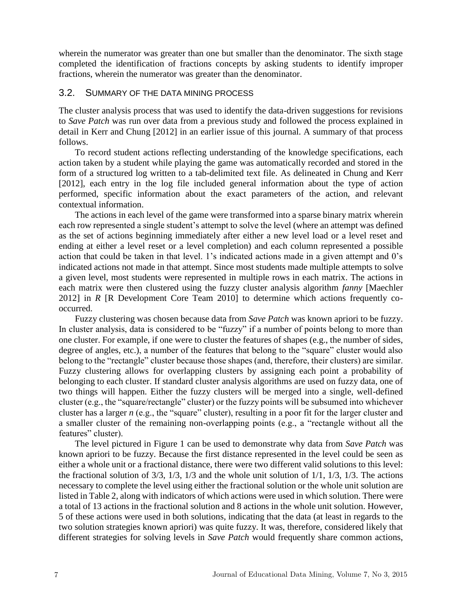wherein the numerator was greater than one but smaller than the denominator. The sixth stage completed the identification of fractions concepts by asking students to identify improper fractions, wherein the numerator was greater than the denominator.

#### 3.2. SUMMARY OF THE DATA MINING PROCESS

The cluster analysis process that was used to identify the data-driven suggestions for revisions to *Save Patch* was run over data from a previous study and followed the process explained in detail in Kerr and Chung [2012] in an earlier issue of this journal. A summary of that process follows.

To record student actions reflecting understanding of the knowledge specifications, each action taken by a student while playing the game was automatically recorded and stored in the form of a structured log written to a tab-delimited text file. As delineated in Chung and Kerr [2012], each entry in the log file included general information about the type of action performed, specific information about the exact parameters of the action, and relevant contextual information.

The actions in each level of the game were transformed into a sparse binary matrix wherein each row represented a single student's attempt to solve the level (where an attempt was defined as the set of actions beginning immediately after either a new level load or a level reset and ending at either a level reset or a level completion) and each column represented a possible action that could be taken in that level. 1's indicated actions made in a given attempt and 0's indicated actions not made in that attempt. Since most students made multiple attempts to solve a given level, most students were represented in multiple rows in each matrix. The actions in each matrix were then clustered using the fuzzy cluster analysis algorithm *fanny* [Maechler 2012] in *R* [R Development Core Team 2010] to determine which actions frequently cooccurred.

Fuzzy clustering was chosen because data from *Save Patch* was known apriori to be fuzzy. In cluster analysis, data is considered to be "fuzzy" if a number of points belong to more than one cluster. For example, if one were to cluster the features of shapes (e.g., the number of sides, degree of angles, etc.), a number of the features that belong to the "square" cluster would also belong to the "rectangle" cluster because those shapes (and, therefore, their clusters) are similar. Fuzzy clustering allows for overlapping clusters by assigning each point a probability of belonging to each cluster. If standard cluster analysis algorithms are used on fuzzy data, one of two things will happen. Either the fuzzy clusters will be merged into a single, well-defined cluster (e.g., the "square/rectangle" cluster) or the fuzzy points will be subsumed into whichever cluster has a larger *n* (e.g., the "square" cluster), resulting in a poor fit for the larger cluster and a smaller cluster of the remaining non-overlapping points (e.g., a "rectangle without all the features" cluster).

The level pictured in Figure 1 can be used to demonstrate why data from *Save Patch* was known apriori to be fuzzy. Because the first distance represented in the level could be seen as either a whole unit or a fractional distance, there were two different valid solutions to this level: the fractional solution of 3/3, 1/3, 1/3 and the whole unit solution of 1/1, 1/3, 1/3. The actions necessary to complete the level using either the fractional solution or the whole unit solution are listed in Table 2, along with indicators of which actions were used in which solution. There were a total of 13 actions in the fractional solution and 8 actions in the whole unit solution. However, 5 of these actions were used in both solutions, indicating that the data (at least in regards to the two solution strategies known apriori) was quite fuzzy. It was, therefore, considered likely that different strategies for solving levels in *Save Patch* would frequently share common actions,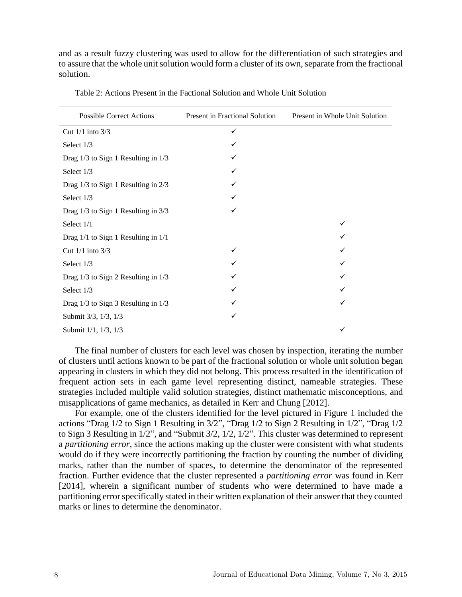and as a result fuzzy clustering was used to allow for the differentiation of such strategies and to assure that the whole unit solution would form a cluster of its own, separate from the fractional solution.

| <b>Possible Correct Actions</b>         | Present in Fractional Solution | Present in Whole Unit Solution |  |  |
|-----------------------------------------|--------------------------------|--------------------------------|--|--|
| Cut $1/1$ into $3/3$                    | ✓                              |                                |  |  |
| Select 1/3                              |                                |                                |  |  |
| Drag 1/3 to Sign 1 Resulting in 1/3     |                                |                                |  |  |
| Select 1/3                              |                                |                                |  |  |
| Drag $1/3$ to Sign 1 Resulting in $2/3$ |                                |                                |  |  |
| Select 1/3                              |                                |                                |  |  |
| Drag 1/3 to Sign 1 Resulting in 3/3     |                                |                                |  |  |
| Select 1/1                              |                                |                                |  |  |
| Drag 1/1 to Sign 1 Resulting in 1/1     |                                |                                |  |  |
| Cut 1/1 into 3/3                        | ✓                              |                                |  |  |
| Select 1/3                              |                                |                                |  |  |
| Drag 1/3 to Sign 2 Resulting in 1/3     |                                |                                |  |  |
| Select 1/3                              |                                |                                |  |  |
| Drag 1/3 to Sign 3 Resulting in 1/3     |                                | ✓                              |  |  |
| Submit 3/3, 1/3, 1/3                    |                                |                                |  |  |
| Submit 1/1, 1/3, 1/3                    |                                |                                |  |  |

Table 2: Actions Present in the Factional Solution and Whole Unit Solution

The final number of clusters for each level was chosen by inspection, iterating the number of clusters until actions known to be part of the fractional solution or whole unit solution began appearing in clusters in which they did not belong. This process resulted in the identification of frequent action sets in each game level representing distinct, nameable strategies. These strategies included multiple valid solution strategies, distinct mathematic misconceptions, and misapplications of game mechanics, as detailed in Kerr and Chung [2012].

For example, one of the clusters identified for the level pictured in Figure 1 included the actions "Drag 1/2 to Sign 1 Resulting in 3/2", "Drag 1/2 to Sign 2 Resulting in 1/2", "Drag 1/2 to Sign 3 Resulting in 1/2", and "Submit 3/2, 1/2, 1/2". This cluster was determined to represent a *partitioning error*, since the actions making up the cluster were consistent with what students would do if they were incorrectly partitioning the fraction by counting the number of dividing marks, rather than the number of spaces, to determine the denominator of the represented fraction. Further evidence that the cluster represented a *partitioning error* was found in Kerr [2014], wherein a significant number of students who were determined to have made a partitioning error specifically stated in their written explanation of their answer that they counted marks or lines to determine the denominator.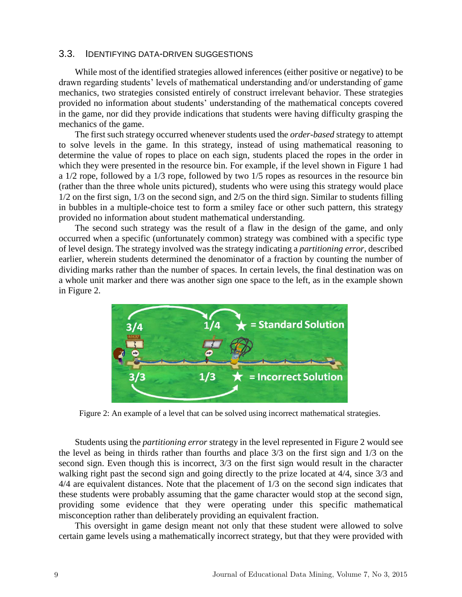#### 3.3. IDENTIFYING DATA-DRIVEN SUGGESTIONS

While most of the identified strategies allowed inferences (either positive or negative) to be drawn regarding students' levels of mathematical understanding and/or understanding of game mechanics, two strategies consisted entirely of construct irrelevant behavior. These strategies provided no information about students' understanding of the mathematical concepts covered in the game, nor did they provide indications that students were having difficulty grasping the mechanics of the game.

The first such strategy occurred whenever students used the *order-based* strategy to attempt to solve levels in the game. In this strategy, instead of using mathematical reasoning to determine the value of ropes to place on each sign, students placed the ropes in the order in which they were presented in the resource bin. For example, if the level shown in Figure 1 had a 1/2 rope, followed by a 1/3 rope, followed by two 1/5 ropes as resources in the resource bin (rather than the three whole units pictured), students who were using this strategy would place 1/2 on the first sign, 1/3 on the second sign, and 2/5 on the third sign. Similar to students filling in bubbles in a multiple-choice test to form a smiley face or other such pattern, this strategy provided no information about student mathematical understanding.

The second such strategy was the result of a flaw in the design of the game, and only occurred when a specific (unfortunately common) strategy was combined with a specific type of level design. The strategy involved was the strategy indicating a *partitioning error*, described earlier, wherein students determined the denominator of a fraction by counting the number of dividing marks rather than the number of spaces. In certain levels, the final destination was on a whole unit marker and there was another sign one space to the left, as in the example shown in Figure 2.



Figure 2: An example of a level that can be solved using incorrect mathematical strategies.

Students using the *partitioning error* strategy in the level represented in Figure 2 would see the level as being in thirds rather than fourths and place 3/3 on the first sign and 1/3 on the second sign. Even though this is incorrect, 3/3 on the first sign would result in the character walking right past the second sign and going directly to the prize located at 4/4, since 3/3 and 4/4 are equivalent distances. Note that the placement of 1/3 on the second sign indicates that these students were probably assuming that the game character would stop at the second sign, providing some evidence that they were operating under this specific mathematical misconception rather than deliberately providing an equivalent fraction.

This oversight in game design meant not only that these student were allowed to solve certain game levels using a mathematically incorrect strategy, but that they were provided with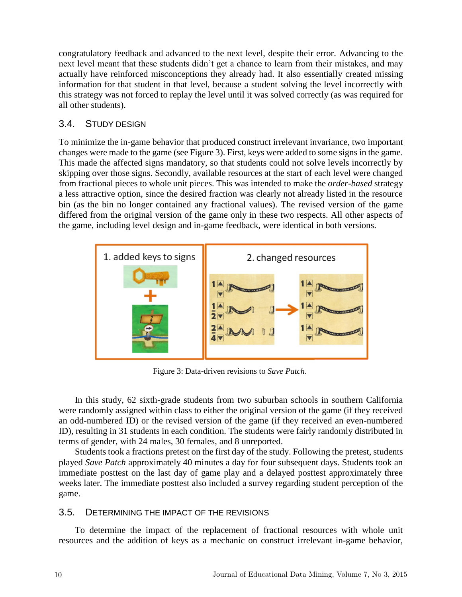congratulatory feedback and advanced to the next level, despite their error. Advancing to the next level meant that these students didn't get a chance to learn from their mistakes, and may actually have reinforced misconceptions they already had. It also essentially created missing information for that student in that level, because a student solving the level incorrectly with this strategy was not forced to replay the level until it was solved correctly (as was required for all other students).

## 3.4. STUDY DESIGN

To minimize the in-game behavior that produced construct irrelevant invariance, two important changes were made to the game (see Figure 3). First, keys were added to some signs in the game. This made the affected signs mandatory, so that students could not solve levels incorrectly by skipping over those signs. Secondly, available resources at the start of each level were changed from fractional pieces to whole unit pieces. This was intended to make the *order-based* strategy a less attractive option, since the desired fraction was clearly not already listed in the resource bin (as the bin no longer contained any fractional values). The revised version of the game differed from the original version of the game only in these two respects. All other aspects of the game, including level design and in-game feedback, were identical in both versions.



Figure 3: Data-driven revisions to *Save Patch*.

In this study, 62 sixth-grade students from two suburban schools in southern California were randomly assigned within class to either the original version of the game (if they received an odd-numbered ID) or the revised version of the game (if they received an even-numbered ID), resulting in 31 students in each condition. The students were fairly randomly distributed in terms of gender, with 24 males, 30 females, and 8 unreported.

Students took a fractions pretest on the first day of the study. Following the pretest, students played *Save Patch* approximately 40 minutes a day for four subsequent days. Students took an immediate posttest on the last day of game play and a delayed posttest approximately three weeks later. The immediate posttest also included a survey regarding student perception of the game.

### 3.5. DETERMINING THE IMPACT OF THE REVISIONS

To determine the impact of the replacement of fractional resources with whole unit resources and the addition of keys as a mechanic on construct irrelevant in-game behavior,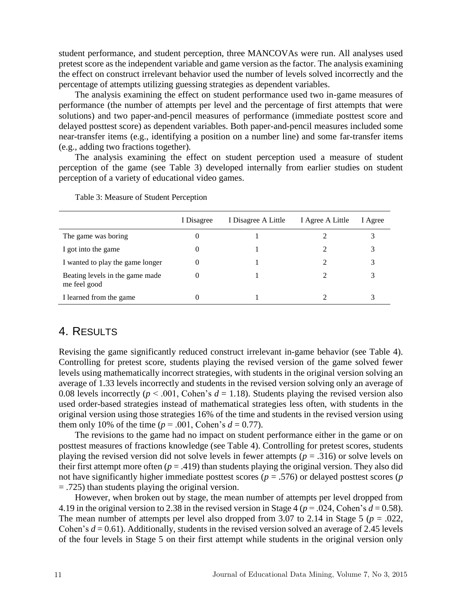student performance, and student perception, three MANCOVAs were run. All analyses used pretest score as the independent variable and game version as the factor. The analysis examining the effect on construct irrelevant behavior used the number of levels solved incorrectly and the percentage of attempts utilizing guessing strategies as dependent variables.

The analysis examining the effect on student performance used two in-game measures of performance (the number of attempts per level and the percentage of first attempts that were solutions) and two paper-and-pencil measures of performance (immediate posttest score and delayed posttest score) as dependent variables. Both paper-and-pencil measures included some near-transfer items (e.g., identifying a position on a number line) and some far-transfer items (e.g., adding two fractions together).

The analysis examining the effect on student perception used a measure of student perception of the game (see Table 3) developed internally from earlier studies on student perception of a variety of educational video games.

|                                                 | I Disagree | I Disagree A Little | I Agree A Little | I Agree |
|-------------------------------------------------|------------|---------------------|------------------|---------|
| The game was boring                             | $\theta$   |                     |                  |         |
| I got into the game                             | $\theta$   |                     |                  |         |
| I wanted to play the game longer                | $\theta$   |                     |                  |         |
| Beating levels in the game made<br>me feel good |            |                     |                  |         |
| I learned from the game                         | $\theta$   |                     |                  |         |

Table 3: Measure of Student Perception

#### 4. RESULTS

Revising the game significantly reduced construct irrelevant in-game behavior (see Table 4). Controlling for pretest score, students playing the revised version of the game solved fewer levels using mathematically incorrect strategies, with students in the original version solving an average of 1.33 levels incorrectly and students in the revised version solving only an average of 0.08 levels incorrectly ( $p < .001$ , Cohen's  $d = 1.18$ ). Students playing the revised version also used order-based strategies instead of mathematical strategies less often, with students in the original version using those strategies 16% of the time and students in the revised version using them only 10% of the time ( $p = .001$ , Cohen's  $d = 0.77$ ).

The revisions to the game had no impact on student performance either in the game or on posttest measures of fractions knowledge (see Table 4). Controlling for pretest scores, students playing the revised version did not solve levels in fewer attempts ( $p = .316$ ) or solve levels on their first attempt more often  $(p = .419)$  than students playing the original version. They also did not have significantly higher immediate posttest scores (*p* = .576) or delayed posttest scores (*p* = .725) than students playing the original version.

However, when broken out by stage, the mean number of attempts per level dropped from 4.19 in the original version to 2.38 in the revised version in Stage 4 ( $p = .024$ , Cohen's  $d = 0.58$ ). The mean number of attempts per level also dropped from 3.07 to 2.14 in Stage 5 ( $p = .022$ , Cohen's  $d = 0.61$ ). Additionally, students in the revised version solved an average of 2.45 levels of the four levels in Stage 5 on their first attempt while students in the original version only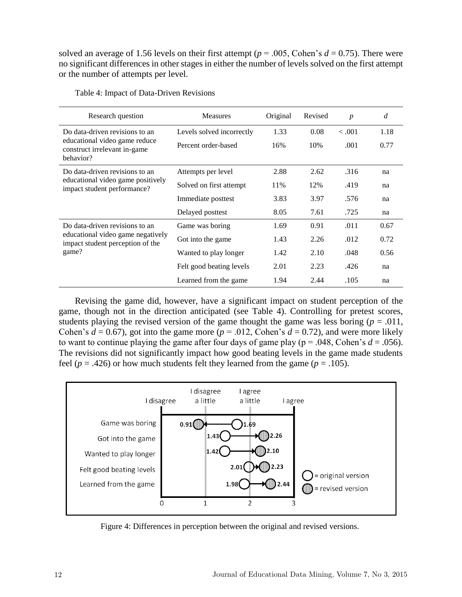solved an average of 1.56 levels on their first attempt ( $p = .005$ , Cohen's  $d = 0.75$ ). There were no significant differences in other stages in either the number of levels solved on the first attempt or the number of attempts per level.

| Research question                                                                                                | <b>Measures</b>           | Original | Revised | $\boldsymbol{p}$ | d    |
|------------------------------------------------------------------------------------------------------------------|---------------------------|----------|---------|------------------|------|
| Do data-driven revisions to an<br>educational video game reduce<br>construct irrelevant in-game<br>behavior?     | Levels solved incorrectly | 1.33     | 0.08    | < 0.001          | 1.18 |
|                                                                                                                  | Percent order-based       | 16%      | 10%     | .001             | 0.77 |
| Do data-driven revisions to an<br>educational video game positively<br>impact student performance?               | Attempts per level        | 2.88     | 2.62    | .316             | na   |
|                                                                                                                  | Solved on first attempt   | 11%      | 12%     | .419             | na   |
|                                                                                                                  | Immediate posttest        | 3.83     | 3.97    | .576             | na   |
|                                                                                                                  | Delayed posttest          | 8.05     | 7.61    | .725             | na   |
| Do data-driven revisions to an<br>educational video game negatively<br>impact student perception of the<br>game? | Game was boring           | 1.69     | 0.91    | .011             | 0.67 |
|                                                                                                                  | Got into the game         | 1.43     | 2.26    | .012             | 0.72 |
|                                                                                                                  | Wanted to play longer     | 1.42     | 2.10    | .048             | 0.56 |
|                                                                                                                  | Felt good beating levels  | 2.01     | 2.23    | .426             | na   |
|                                                                                                                  | Learned from the game     | 1.94     | 2.44    | .105             | na   |

Table 4: Impact of Data-Driven Revisions

Revising the game did, however, have a significant impact on student perception of the game, though not in the direction anticipated (see Table 4). Controlling for pretest scores, students playing the revised version of the game thought the game was less boring ( $p = .011$ , Cohen's  $d = 0.67$ , got into the game more ( $p = .012$ , Cohen's  $d = 0.72$ ), and were more likely to want to continue playing the game after four days of game play ( $p = .048$ , Cohen's  $d = .056$ ). The revisions did not significantly impact how good beating levels in the game made students feel ( $p = .426$ ) or how much students felt they learned from the game ( $p = .105$ ).



Figure 4: Differences in perception between the original and revised versions.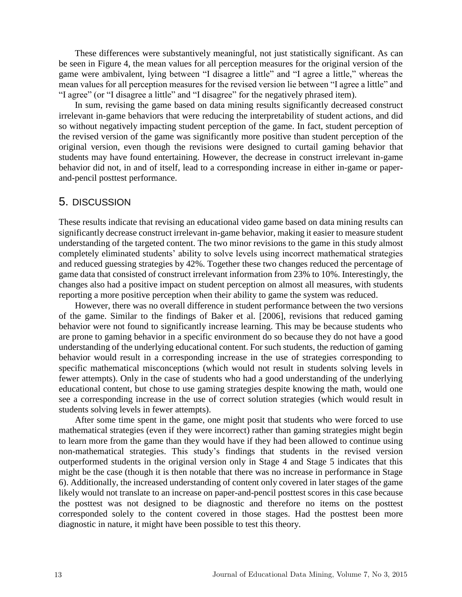These differences were substantively meaningful, not just statistically significant. As can be seen in Figure 4, the mean values for all perception measures for the original version of the game were ambivalent, lying between "I disagree a little" and "I agree a little," whereas the mean values for all perception measures for the revised version lie between "I agree a little" and "I agree" (or "I disagree a little" and "I disagree" for the negatively phrased item).

In sum, revising the game based on data mining results significantly decreased construct irrelevant in-game behaviors that were reducing the interpretability of student actions, and did so without negatively impacting student perception of the game. In fact, student perception of the revised version of the game was significantly more positive than student perception of the original version, even though the revisions were designed to curtail gaming behavior that students may have found entertaining. However, the decrease in construct irrelevant in-game behavior did not, in and of itself, lead to a corresponding increase in either in-game or paperand-pencil posttest performance.

### 5. DISCUSSION

These results indicate that revising an educational video game based on data mining results can significantly decrease construct irrelevant in-game behavior, making it easier to measure student understanding of the targeted content. The two minor revisions to the game in this study almost completely eliminated students' ability to solve levels using incorrect mathematical strategies and reduced guessing strategies by 42%. Together these two changes reduced the percentage of game data that consisted of construct irrelevant information from 23% to 10%. Interestingly, the changes also had a positive impact on student perception on almost all measures, with students reporting a more positive perception when their ability to game the system was reduced.

However, there was no overall difference in student performance between the two versions of the game. Similar to the findings of Baker et al. [2006], revisions that reduced gaming behavior were not found to significantly increase learning. This may be because students who are prone to gaming behavior in a specific environment do so because they do not have a good understanding of the underlying educational content. For such students, the reduction of gaming behavior would result in a corresponding increase in the use of strategies corresponding to specific mathematical misconceptions (which would not result in students solving levels in fewer attempts). Only in the case of students who had a good understanding of the underlying educational content, but chose to use gaming strategies despite knowing the math, would one see a corresponding increase in the use of correct solution strategies (which would result in students solving levels in fewer attempts).

After some time spent in the game, one might posit that students who were forced to use mathematical strategies (even if they were incorrect) rather than gaming strategies might begin to learn more from the game than they would have if they had been allowed to continue using non-mathematical strategies. This study's findings that students in the revised version outperformed students in the original version only in Stage 4 and Stage 5 indicates that this might be the case (though it is then notable that there was no increase in performance in Stage 6). Additionally, the increased understanding of content only covered in later stages of the game likely would not translate to an increase on paper-and-pencil posttest scores in this case because the posttest was not designed to be diagnostic and therefore no items on the posttest corresponded solely to the content covered in those stages. Had the posttest been more diagnostic in nature, it might have been possible to test this theory.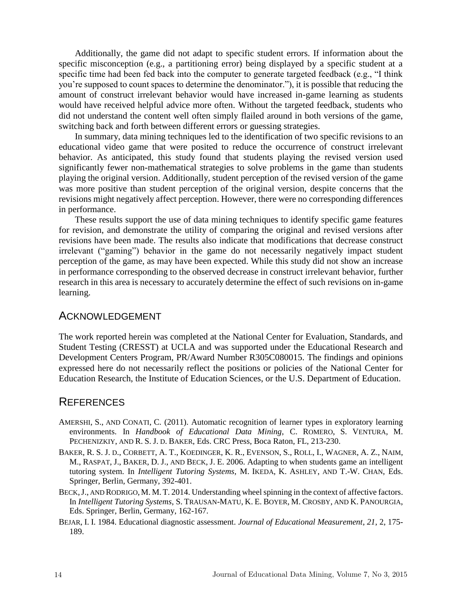Additionally, the game did not adapt to specific student errors. If information about the specific misconception (e.g., a partitioning error) being displayed by a specific student at a specific time had been fed back into the computer to generate targeted feedback (e.g., "I think you're supposed to count spaces to determine the denominator."), it is possible that reducing the amount of construct irrelevant behavior would have increased in-game learning as students would have received helpful advice more often. Without the targeted feedback, students who did not understand the content well often simply flailed around in both versions of the game, switching back and forth between different errors or guessing strategies.

In summary, data mining techniques led to the identification of two specific revisions to an educational video game that were posited to reduce the occurrence of construct irrelevant behavior. As anticipated, this study found that students playing the revised version used significantly fewer non-mathematical strategies to solve problems in the game than students playing the original version. Additionally, student perception of the revised version of the game was more positive than student perception of the original version, despite concerns that the revisions might negatively affect perception. However, there were no corresponding differences in performance.

These results support the use of data mining techniques to identify specific game features for revision, and demonstrate the utility of comparing the original and revised versions after revisions have been made. The results also indicate that modifications that decrease construct irrelevant ("gaming") behavior in the game do not necessarily negatively impact student perception of the game, as may have been expected. While this study did not show an increase in performance corresponding to the observed decrease in construct irrelevant behavior, further research in this area is necessary to accurately determine the effect of such revisions on in-game learning.

## ACKNOWLEDGEMENT

The work reported herein was completed at the National Center for Evaluation, Standards, and Student Testing (CRESST) at UCLA and was supported under the Educational Research and Development Centers Program, PR/Award Number R305C080015. The findings and opinions expressed here do not necessarily reflect the positions or policies of the National Center for Education Research, the Institute of Education Sciences, or the U.S. Department of Education.

#### **REFERENCES**

- AMERSHI, S., AND CONATI, C. (2011). Automatic recognition of learner types in exploratory learning environments. In *Handbook of Educational Data Mining*, C. ROMERO, S. VENTURA, M. PECHENIZKIY, AND R. S. J. D. BAKER, Eds. CRC Press, Boca Raton, FL, 213-230.
- BAKER, R. S. J. D., CORBETT, A. T., KOEDINGER, K. R., EVENSON, S., ROLL, I., WAGNER, A. Z., NAIM, M., RASPAT, J., BAKER, D. J., AND BECK, J. E. 2006. Adapting to when students game an intelligent tutoring system. In *Intelligent Tutoring Systems*, M. IKEDA, K. ASHLEY, AND T.-W. CHAN, Eds. Springer, Berlin, Germany, 392-401.
- BECK,J., AND RODRIGO, M. M.T. 2014. Understanding wheel spinning in the context of affective factors. In *Intelligent Tutoring Systems*, S. TRAUSAN-MATU, K. E. BOYER, M. CROSBY, AND K. PANOURGIA, Eds. Springer, Berlin, Germany, 162-167.
- BEJAR, I. I. 1984. Educational diagnostic assessment. *Journal of Educational Measurement*, *21*, 2, 175- 189.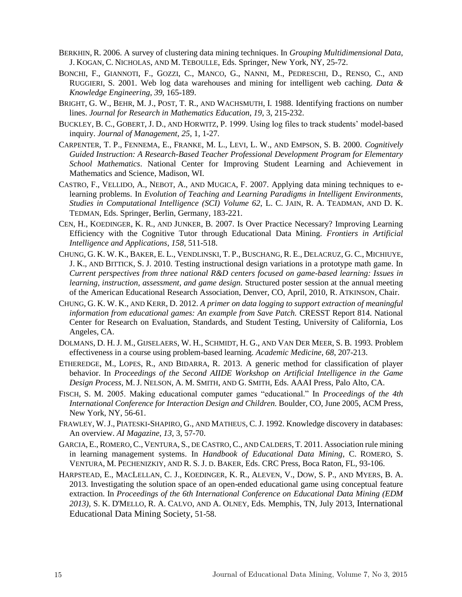- BERKHIN, R. 2006. A survey of clustering data mining techniques. In *Grouping Multidimensional Data*, J. KOGAN, C. NICHOLAS, AND M. TEBOULLE, Eds. Springer, New York, NY, 25-72.
- BONCHI, F., GIANNOTI, F., GOZZI, C., MANCO, G., NANNI, M., PEDRESCHI, D., RENSO, C., AND RUGGIERI, S. 2001. Web log data warehouses and mining for intelligent web caching. *Data & Knowledge Engineering*, *39*, 165-189.
- BRIGHT, G. W., BEHR, M. J., POST, T. R., AND WACHSMUTH, I. 1988. Identifying fractions on number lines. *Journal for Research in Mathematics Education*, *19*, 3, 215-232.
- BUCKLEY, B. C., GOBERT, J. D., AND HORWITZ, P. 1999. Using log files to track students' model-based inquiry. *Journal of Management*, *25*, 1, 1-27.
- CARPENTER, T. P., FENNEMA, E., FRANKE, M. L., LEVI, L. W., AND EMPSON, S. B. 2000. *Cognitively Guided Instruction: A Research-Based Teacher Professional Development Program for Elementary School Mathematics*. National Center for Improving Student Learning and Achievement in Mathematics and Science, Madison, WI.
- CASTRO, F., VELLIDO, A., NEBOT, A., AND MUGICA, F. 2007. Applying data mining techniques to elearning problems. In *Evolution of Teaching and Learning Paradigms in Intelligent Environments, Studies in Computational Intelligence (SCI) Volume 62*, L. C. JAIN, R. A. TEADMAN, AND D. K. TEDMAN, Eds. Springer, Berlin, Germany, 183-221.
- CEN, H., KOEDINGER, K. R., AND JUNKER, B. 2007. Is Over Practice Necessary? Improving Learning Efficiency with the Cognitive Tutor through Educational Data Mining. *Frontiers in Artificial Intelligence and Applications*, *158*, 511-518.
- CHUNG, G. K. W. K., BAKER, E. L., VENDLINSKI, T. P., BUSCHANG, R. E., DELACRUZ, G. C., MICHIUYE, J. K., AND BITTICK, S. J. 2010. Testing instructional design variations in a prototype math game. In *Current perspectives from three national R&D centers focused on game-based learning: Issues in learning, instruction, assessment, and game design.* Structured poster session at the annual meeting of the American Educational Research Association, Denver, CO, April, 2010, R. ATKINSON, Chair.
- CHUNG, G. K. W. K., AND KERR, D. 2012. *A primer on data logging to support extraction of meaningful information from educational games: An example from Save Patch.* CRESST Report 814. National Center for Research on Evaluation, Standards, and Student Testing, University of California, Los Angeles, CA.
- DOLMANS, D. H. J. M., GIJSELAERS, W. H., SCHMIDT, H. G., AND VAN DER MEER, S. B. 1993. Problem effectiveness in a course using problem-based learning. *Academic Medicine*, *68*, 207-213.
- ETHEREDGE, M., LOPES, R., AND BIDARRA, R. 2013. A generic method for classification of player behavior. In *Proceedings of the Second AIIDE Workshop on Artificial Intelligence in the Game Design Process*, M. J. NELSON, A. M. SMITH, AND G. SMITH, Eds. AAAI Press, Palo Alto, CA.
- FISCH, S. M. 2005. Making educational computer games "educational." In *Proceedings of the 4th International Conference for Interaction Design and Children.* Boulder, CO, June 2005, ACM Press, New York, NY, 56-61.
- FRAWLEY, W.J., PIATESKI-SHAPIRO, G., AND MATHEUS, C.J. 1992. Knowledge discovery in databases: An overview. *AI Magazine*, *13*, 3, 57-70.
- GARCIA, E., ROMERO, C., VENTURA, S., DE CASTRO, C., AND CALDERS, T. 2011. Association rule mining in learning management systems. In *Handbook of Educational Data Mining*, C. ROMERO, S. VENTURA, M. PECHENIZKIY, AND R. S. J. D. BAKER, Eds. CRC Press, Boca Raton, FL, 93-106.
- HARPSTEAD, E., MACLELLAN, C. J., KOEDINGER, K. R., ALEVEN, V., DOW, S. P., AND MYERS, B. A. 2013. Investigating the solution space of an open-ended educational game using conceptual feature extraction. In *Proceedings of the 6th International Conference on Educational Data Mining (EDM 2013),* S. K. D'MELLO, R. A. CALVO, AND A. OLNEY, Eds. Memphis, TN, July 2013, International Educational Data Mining Society, 51-58.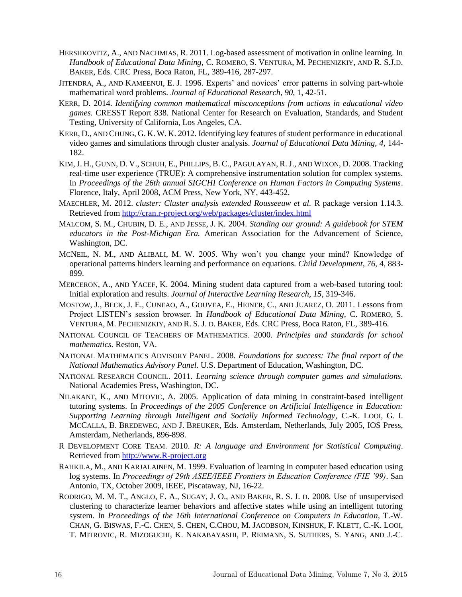- HERSHKOVITZ, A., AND NACHMIAS, R. 2011. Log-based assessment of motivation in online learning. In *Handbook of Educational Data Mining*, C. ROMERO, S. VENTURA, M. PECHENIZKIY, AND R. S.J.D. BAKER, Eds. CRC Press, Boca Raton, FL, 389-416, 287-297.
- JITENDRA, A., AND KAMEENUI, E. J. 1996. Experts' and novices' error patterns in solving part-whole mathematical word problems. *Journal of Educational Research*, *90*, 1, 42-51.
- KERR, D. 2014. *Identifying common mathematical misconceptions from actions in educational video games.* CRESST Report 838. National Center for Research on Evaluation, Standards, and Student Testing, University of California, Los Angeles, CA.
- KERR, D., AND CHUNG, G. K. W. K. 2012. Identifying key features of student performance in educational video games and simulations through cluster analysis. *Journal of Educational Data Mining*, *4*, 144- 182.
- KIM,J. H., GUNN, D. V., SCHUH, E., PHILLIPS, B. C., PAGULAYAN, R.J., AND WIXON, D. 2008. Tracking real-time user experience (TRUE): A comprehensive instrumentation solution for complex systems. In *Proceedings of the 26th annual SIGCHI Conference on Human Factors in Computing Systems*. Florence, Italy, April 2008, ACM Press, New York, NY, 443-452.
- MAECHLER, M. 2012. *cluster: Cluster analysis extended Rousseeuw et al.* R package version 1.14.3. Retrieved from http://cran.r-project.org/web/packages/cluster/index.html
- MALCOM, S. M., CHUBIN, D. E., AND JESSE, J. K. 2004. *Standing our ground: A guidebook for STEM educators in the Post-Michigan Era.* American Association for the Advancement of Science, Washington, DC.
- MCNEIL, N. M., AND ALIBALI, M. W. 2005. Why won't you change your mind? Knowledge of operational patterns hinders learning and performance on equations. *Child Development*, *76*, 4, 883- 899.
- MERCERON, A., AND YACEF, K. 2004. Mining student data captured from a web-based tutoring tool: Initial exploration and results. *Journal of Interactive Learning Research*, *15*, 319-346.
- MOSTOW, J., BECK, J. E., CUNEAO, A., GOUVEA, E., HEINER, C., AND JUAREZ, O. 2011. Lessons from Project LISTEN's session browser. In *Handbook of Educational Data Mining*, C. ROMERO, S. VENTURA, M. PECHENIZKIY, AND R. S. J. D. BAKER, Eds. CRC Press, Boca Raton, FL, 389-416.
- NATIONAL COUNCIL OF TEACHERS OF MATHEMATICS. 2000. *Principles and standards for school mathematics.* Reston, VA.
- NATIONAL MATHEMATICS ADVISORY PANEL. 2008. *Foundations for success: The final report of the National Mathematics Advisory Panel.* U.S. Department of Education, Washington, DC.
- NATIONAL RESEARCH COUNCIL. 2011. *Learning science through computer games and simulations.*  National Academies Press, Washington, DC.
- NILAKANT, K., AND MITOVIC, A. 2005. Application of data mining in constraint-based intelligent tutoring systems. In *Proceedings of the 2005 Conference on Artificial Intelligence in Education: Supporting Learning through Intelligent and Socially Informed Technology*, C.-K. LOOI, G. I. MCCALLA, B. BREDEWEG, AND J. BREUKER, Eds. Amsterdam, Netherlands, July 2005, IOS Press, Amsterdam, Netherlands, 896-898.
- R DEVELOPMENT CORE TEAM. 2010. *R: A language and Environment for Statistical Computing*. Retrieved from http://www.R-project.org
- RAHKILA, M., AND KARJALAINEN, M. 1999. Evaluation of learning in computer based education using log systems. In *Proceedings of 29th ASEE/IEEE Frontiers in Education Conference (FIE '99)*. San Antonio, TX, October 2009, IEEE, Piscataway, NJ, 16-22.
- RODRIGO, M. M. T., ANGLO, E. A., SUGAY, J. O., AND BAKER, R. S. J. D. 2008. Use of unsupervised clustering to characterize learner behaviors and affective states while using an intelligent tutoring system. In *Proceedings of the 16th International Conference on Computers in Education*, T.-W. CHAN, G. BISWAS, F.-C. CHEN, S. CHEN, C.CHOU, M. JACOBSON, KINSHUK, F. KLETT, C.-K. LOOI, T. MITROVIC, R. MIZOGUCHI, K. NAKABAYASHI, P. REIMANN, S. SUTHERS, S. YANG, AND J.-C.